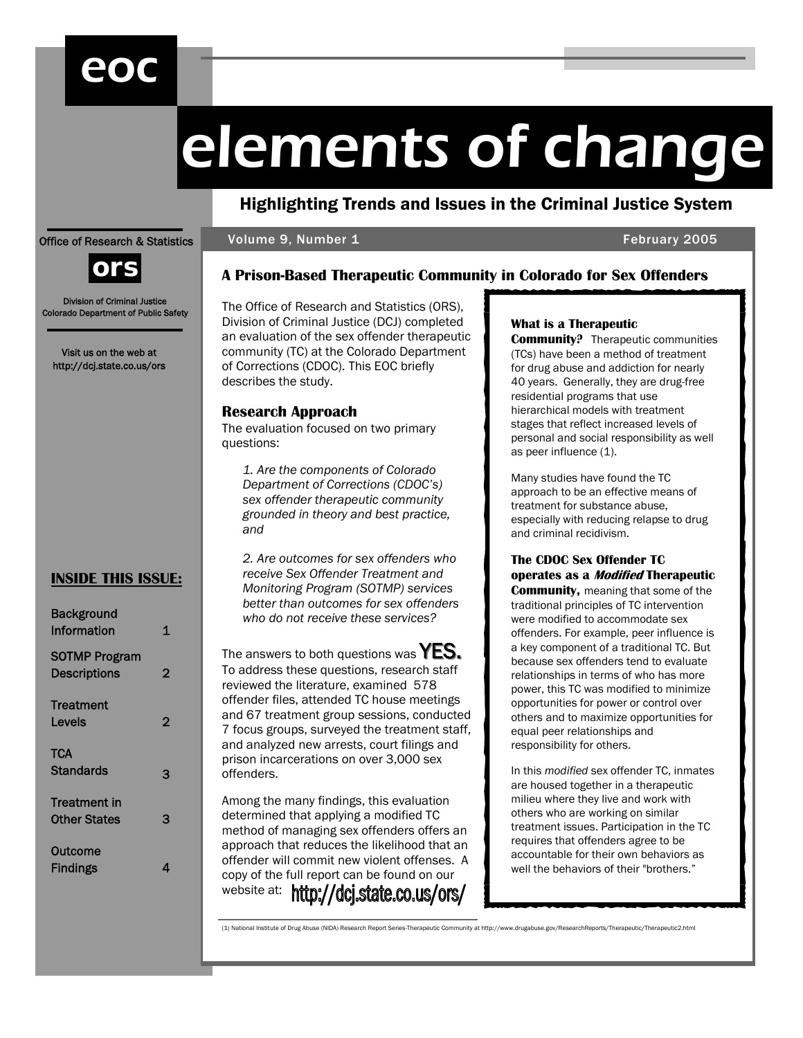# eoc

# elements of change

# Highlighting Trends and Issues in the Criminal Justice System

**A Prison-Based Therapeutic Community in Colorado for Sex Offenders** 

Volume 9, Number 1 February 2005

## Office of Research & Statistics



Division of Criminal Justice Colorado Department of Public Safety

Visit us on the web at http://dcj.state.co.us/ors

# **INSIDE THIS ISSUE:**

| <b>Background</b><br>Information           | 1 |
|--------------------------------------------|---|
| <b>SOTMP Program</b><br>Descriptions       | 2 |
| Treatment<br>Levels                        | 2 |
| <b>TCA</b><br><b>Standards</b>             | 3 |
| <b>Treatment</b> in<br><b>Other States</b> | 3 |
| Outcome<br>Findings                        | Λ |

The Office of Research and Statistics (ORS), Division of Criminal Justice (DCJ) completed an evaluation of the sex offender therapeutic community (TC) at the Colorado Department of Corrections (CDOC). This EOC briefly describes the study.

## **Research Approach**

The evaluation focused on two primary questions:

*1. Are the components of Colorado Department of Corrections (CDOC's) sex offender therapeutic community grounded in theory and best practice, and* 

*2. Are outcomes for sex offenders who receive Sex Offender Treatment and Monitoring Program (SOTMP) services better than outcomes for sex offenders who do not receive these services?* 

The answers to both questions was  $YES$ . To address these questions, research staff reviewed the literature, examined 578 offender files, attended TC house meetings and 67 treatment group sessions, conducted 7 focus groups, surveyed the treatment staff, and analyzed new arrests, court filings and prison incarcerations on over 3,000 sex offenders.

Among the many findings, this evaluation determined that applying a modified TC method of managing sex offenders offers an approach that reduces the likelihood that an offender will commit new violent offenses. A copy of the full report can be found on our website at: http://dcj.state.co.us/ors/

# **What is a Therapeutic**

**Community?** Therapeutic communities (TCs) have been a method of treatment for drug abuse and addiction for nearly 40 years. Generally, they are drug-free residential programs that use hierarchical models with treatment stages that reflect increased levels of personal and social responsibility as well as peer influence (1).

Many studies have found the TC approach to be an effective means of treatment for substance abuse, especially with reducing relapse to drug and criminal recidivism.

# **The CDOC Sex Offender TC operates as a Modified Therapeutic**

**Community,** meaning that some of the traditional principles of TC intervention were modified to accommodate sex offenders. For example, peer influence is a key component of a traditional TC. But because sex offenders tend to evaluate relationships in terms of who has more power, this TC was modified to minimize opportunities for power or control over others and to maximize opportunities for equal peer relationships and responsibility for others.

In this *modified* sex offender TC, inmates are housed together in a therapeutic milieu where they live and work with others who are working on similar treatment issues. Participation in the TC requires that offenders agree to be accountable for their own behaviors as well the behaviors of their "brothers."

(1) National Institute of Drug Abuse (NIDA) Research Report Series-Therapeutic Community at http://www.drugabuse.gov/ResearchReports/Therapeutic/Therapeutic2.html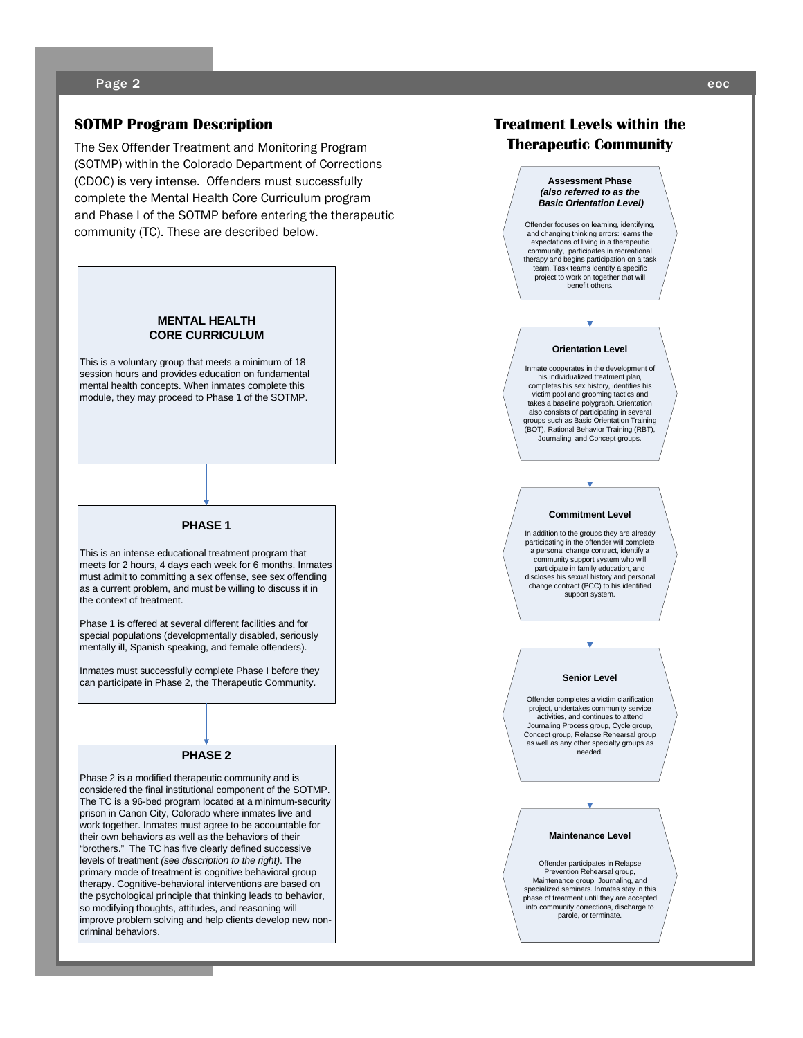## **SOTMP Program Description**

The Sex Offender Treatment and Monitoring Program (SOTMP) within the Colorado Department of Corrections (CDOC) is very intense. Offenders must successfully complete the Mental Health Core Curriculum program and Phase I of the SOTMP before entering the therapeutic community (TC). These are described below.

#### **MENTAL HEALTH CORE CURRICULUM**

This is a voluntary group that meets a minimum of 18 session hours and provides education on fundamental mental health concepts. When inmates complete this module, they may proceed to Phase 1 of the SOTMP.

#### **PHASE 1**

This is an intense educational treatment program that meets for 2 hours, 4 days each week for 6 months. Inmates must admit to committing a sex offense, see sex offending as a current problem, and must be willing to discuss it in the context of treatment.

Phase 1 is offered at several different facilities and for special populations (developmentally disabled, seriously mentally ill, Spanish speaking, and female offenders).

Inmates must successfully complete Phase I before they can participate in Phase 2, the Therapeutic Community.

#### **PHASE 2**

Phase 2 is a modified therapeutic community and is considered the final institutional component of the SOTMP. The TC is a 96-bed program located at a minimum-security prison in Canon City, Colorado where inmates live and work together. Inmates must agree to be accountable for their own behaviors as well as the behaviors of their "brothers." The TC has five clearly defined successive levels of treatment *(see description to the right)*. The primary mode of treatment is cognitive behavioral group therapy. Cognitive-behavioral interventions are based on the psychological principle that thinking leads to behavior, so modifying thoughts, attitudes, and reasoning will improve problem solving and help clients develop new noncriminal behaviors.

# **Treatment Levels within the Therapeutic Community**

#### **Assessment Phase**  *(also referred to as the Basic Orientation Level)*

Offender focuses on learning, identifying, and changing thinking errors: learns the expectations of living in a therapeutic community, participates in recreational therapy and begins participation on a task team. Task teams identify a specific project to work on together that will benefit others.

#### **Orientation Level**

Inmate cooperates in the development of his individualized treatment plan, completes his sex history, identifies his victim pool and grooming tactics and takes a baseline polygraph. Orientation also consists of participating in several groups such as Basic Orientation Training (BOT), Rational Behavior Training (RBT), Journaling, and Concept groups.

#### **Commitment Level**

In addition to the groups they are already participating in the offender will complete a personal change contract, identify a community support system who will participate in family education, and discloses his sexual history and personal change contract (PCC) to his identified support system.

#### **Senior Level**

Offender completes a victim clarification project, undertakes community service activities, and continues to attend Journaling Process group, Cycle group, Concept group, Relapse Rehearsal group as well as any other specialty groups as needed.

#### **Maintenance Level**

Offender participates in Relapse Prevention Rehearsal group, Maintenance group, Journaling, and specialized seminars. Inmates stay in this phase of treatment until they are accepted into community corrections, discharge to parole, or terminate.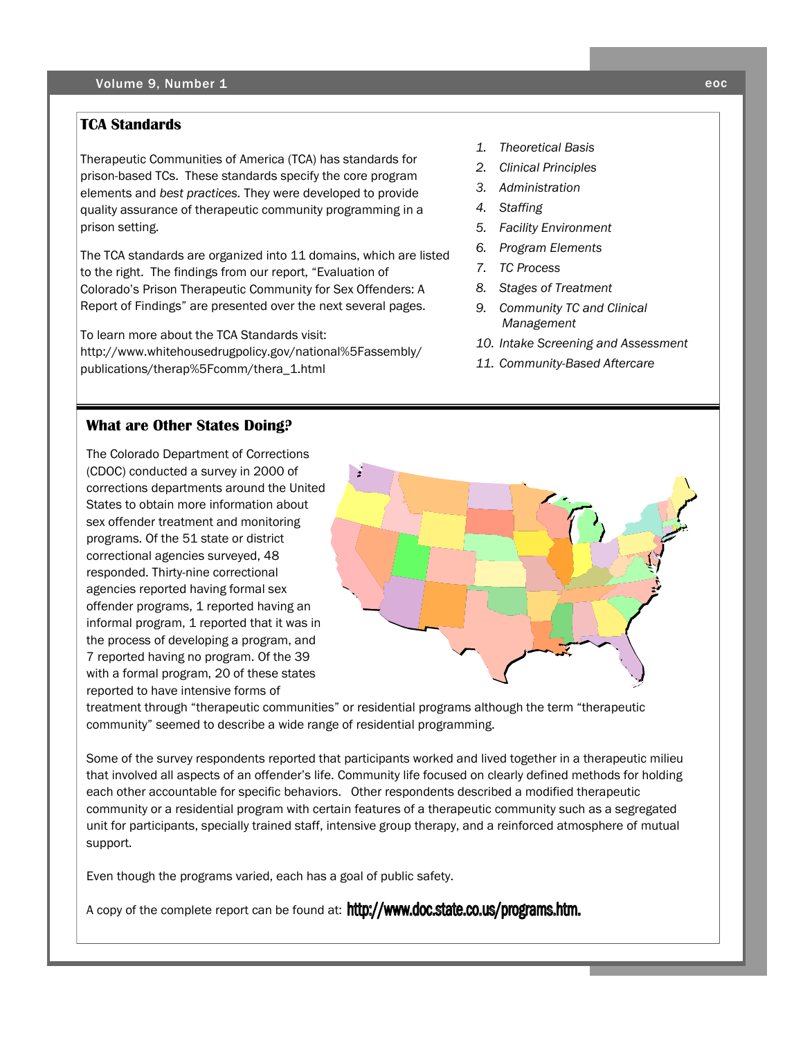# **TCA Standards**

Therapeutic Communities of America (TCA) has standards for prison-based TCs. These standards specify the core program elements and *best practices.* They were developed to provide quality assurance of therapeutic community programming in a prison setting.

The TCA standards are organized into 11 domains, which are listed to the right. The findings from our report, "Evaluation of Colorado's Prison Therapeutic Community for Sex Offenders: A Report of Findings" are presented over the next several pages.

To learn more about the TCA Standards visit: http://www.whitehousedrugpolicy.gov/national%5Fassembly/ publications/therap%5Fcomm/thera\_1.html

- *1. Theoretical Basis*
- *2. Clinical Principles*
- *3. Administration*
- *4. Staffing*
- *5. Facility Environment*
- *6. Program Elements*
- *7. TC Process*
- *8. Stages of Treatment*
- *9. Community TC and Clinical Management*
- *10. Intake Screening and Assessment*
- *11. Community-Based Aftercare*

# **What are Other States Doing?**

The Colorado Department of Corrections (CDOC) conducted a survey in 2000 of corrections departments around the United States to obtain more information about sex offender treatment and monitoring programs. Of the 51 state or district correctional agencies surveyed, 48 responded. Thirty-nine correctional agencies reported having formal sex offender programs, 1 reported having an informal program, 1 reported that it was in the process of developing a program, and 7 reported having no program. Of the 39 with a formal program, 20 of these states reported to have intensive forms of



treatment through "therapeutic communities" or residential programs although the term "therapeutic community" seemed to describe a wide range of residential programming.

Some of the survey respondents reported that participants worked and lived together in a therapeutic milieu that involved all aspects of an offender's life. Community life focused on clearly defined methods for holding each other accountable for specific behaviors. Other respondents described a modified therapeutic community or a residential program with certain features of a therapeutic community such as a segregated unit for participants, specially trained staff, intensive group therapy, and a reinforced atmosphere of mutual support.

Even though the programs varied, each has a goal of public safety.

A copy of the complete report can be found at: http://www.doc.state.co.us/programs.htm.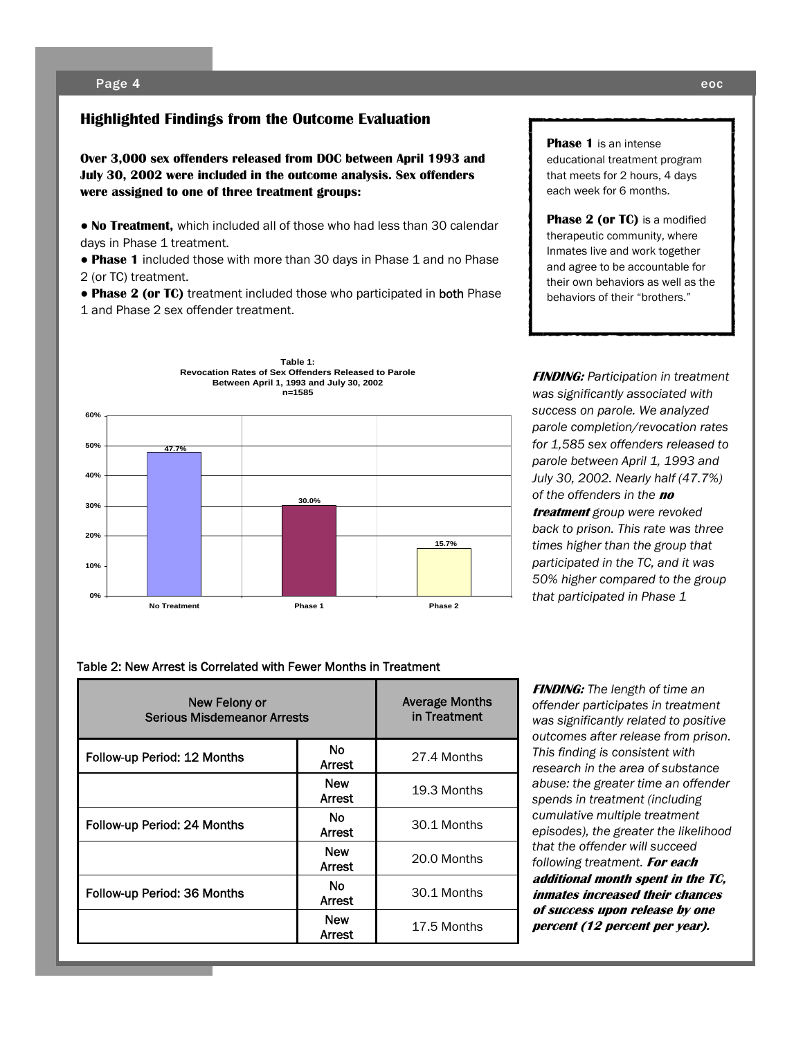### **Highlighted Findings from the Outcome Evaluation**

**Over 3,000 sex offenders released from DOC between April 1993 and July 30, 2002 were included in the outcome analysis. Sex offenders were assigned to one of three treatment groups:** 

● **No Treatment,** which included all of those who had less than 30 calendar days in Phase 1 treatment.

• Phase 1 included those with more than 30 days in Phase 1 and no Phase 2 (or TC) treatment.

● **Phase 2 (or TC)** treatment included those who participated in both Phase 1 and Phase 2 sex offender treatment.



**Phase 1** is an intense educational treatment program that meets for 2 hours, 4 days each week for 6 months.

**Phase 2 (or TC)** is a modified therapeutic community, where Inmates live and work together and agree to be accountable for their own behaviors as well as the behaviors of their "brothers."

**FINDING:** *Participation in treatment was significantly associated with success on parole. We analyzed parole completion/revocation rates for 1,585 sex offenders released to parole between April 1, 1993 and July 30, 2002. Nearly half (47.7%) of the offenders in the* **no treatment** *group were revoked back to prison. This rate was three times higher than the group that participated in the TC, and it was 50% higher compared to the group that participated in Phase 1* 

#### Table 2: New Arrest is Correlated with Fewer Months in Treatment

| New Felony or<br><b>Serious Misdemeanor Arrests</b> |                             | <b>Average Months</b><br>in Treatment |
|-----------------------------------------------------|-----------------------------|---------------------------------------|
| Follow-up Period: 12 Months                         | <b>No</b><br>Arrest         | 27.4 Months                           |
|                                                     | <b>New</b><br><b>Arrest</b> | 19.3 Months                           |
| Follow-up Period: 24 Months                         | No.<br><b>Arrest</b>        | 30.1 Months                           |
|                                                     | <b>New</b><br><b>Arrest</b> | 20.0 Months                           |
| Follow-up Period: 36 Months                         | No.<br>Arrest               | 30.1 Months                           |
|                                                     | <b>New</b><br>Arrest        | 17.5 Months                           |

**FINDING:** *The length of time an offender participates in treatment was significantly related to positive outcomes after release from prison. This finding is consistent with research in the area of substance abuse: the greater time an offender spends in treatment (including cumulative multiple treatment episodes), the greater the likelihood that the offender will succeed following treatment.* **For each additional month spent in the TC, inmates increased their chances of success upon release by one percent (12 percent per year).**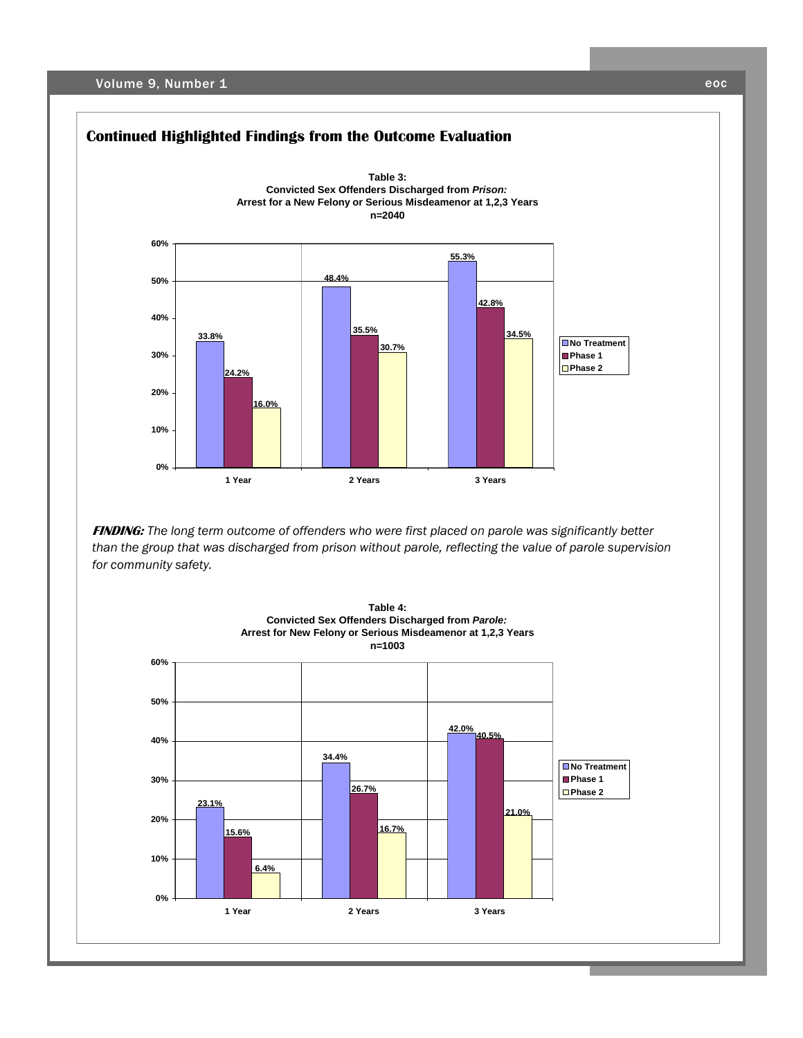Volume 9, Number 1 eoc



**FINDING:** *The long term outcome of offenders who were first placed on parole was significantly better than the group that was discharged from prison without parole, reflecting the value of parole supervision for community safety.*